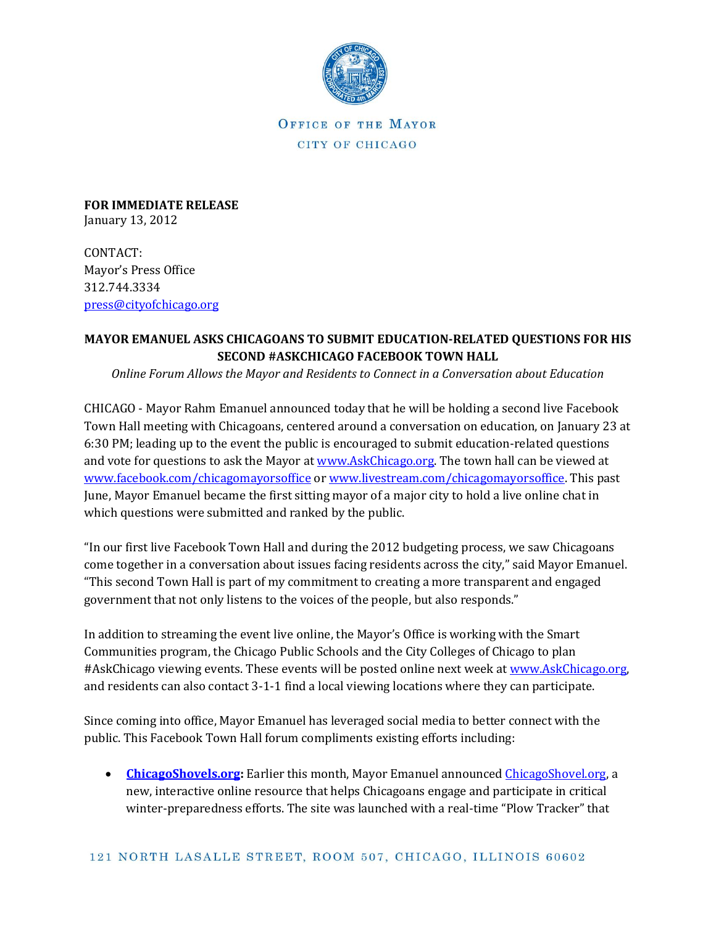

OFFICE OF THE MAYOR CITY OF CHICAGO

**FOR IMMEDIATE RELEASE** January 13, 2012

CONTACT: Mayor's Press Office 312.744.3334 [press@cityofchicago.org](mailto:press@cityofchicago.org)

## **MAYOR EMANUEL ASKS CHICAGOANS TO SUBMIT EDUCATION-RELATED QUESTIONS FOR HIS SECOND #ASKCHICAGO FACEBOOK TOWN HALL**

*Online Forum Allows the Mayor and Residents to Connect in a Conversation about Education*

CHICAGO - Mayor Rahm Emanuel announced today that he will be holding a second live Facebook Town Hall meeting with Chicagoans, centered around a conversation on education, on January 23 at 6:30 PM; leading up to the event the public is encouraged to submit education-related questions and vote for questions to ask the Mayor at [www.AskChicago.org.](http://www.askchicago.org/) The town hall can be viewed at [www.facebook.com/chicagomayorsoffice](http://www.facebook.com/chicagosmayorsoffice) o[r www.livestream.com/chicagomayorsoffice.](www.livestream.com/chicagomayorsoffice) This past June, Mayor Emanuel became the first sitting mayor of a major city to hold a live online chat in which questions were submitted and ranked by the public.

"In our first live Facebook Town Hall and during the 2012 budgeting process, we saw Chicagoans come together in a conversation about issues facing residents across the city," said Mayor Emanuel. "This second Town Hall is part of my commitment to creating a more transparent and engaged government that not only listens to the voices of the people, but also responds."

In addition to streaming the event live online, the Mayor's Office is working with the Smart Communities program, the Chicago Public Schools and the City Colleges of Chicago to plan #AskChicago viewing events. These events will be posted online next week at [www.AskChicago.org,](http://www.askchicago.org/) and residents can also contact 3-1-1 find a local viewing locations where they can participate.

Since coming into office, Mayor Emanuel has leveraged social media to better connect with the public. This Facebook Town Hall forum compliments existing efforts including:

 **[ChicagoShovels.org:](http://www.cityofchicago.org/city/en/depts/mayor/snowportal/chicagoshovels.html)** Earlier this month, Mayor Emanuel announced [ChicagoShovel.org,](http://www.cityofchicago.org/city/en/depts/mayor/snowportal/chicagoshovels.html) a new, interactive online resource that helps Chicagoans engage and participate in critical winter-preparedness efforts. The site was launched with a real-time "Plow Tracker" that